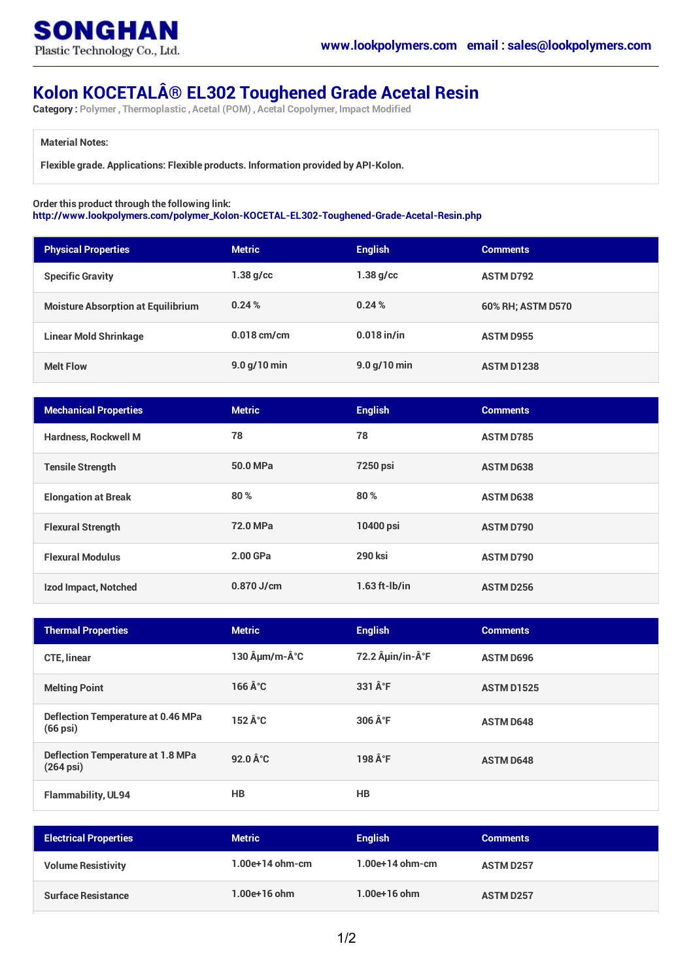

## **Kolon KOCETAL® EL302 Toughened Grade Acetal Resin**

**Category : Polymer , Thermoplastic , Acetal (POM) , Acetal Copolymer, Impact Modified**

## **Material Notes:**

**Flexible grade. Applications: Flexible products. Information provided by API-Kolon.**

## **Order this product through the following link:**

**[http://www.lookpolymers.com/polymer\\_Kolon-KOCETAL-EL302-Toughened-Grade-Acetal-Resin.php](http://www.lookpolymers.com/polymer_Kolon-KOCETAL-EL302-Toughened-Grade-Acetal-Resin.php)**

| <b>Physical Properties</b>                | <b>Metric</b> | <b>English</b> | <b>Comments</b>   |
|-------------------------------------------|---------------|----------------|-------------------|
| <b>Specific Gravity</b>                   | $1.38$ g/cc   | $1.38$ g/cc    | <b>ASTM D792</b>  |
| <b>Moisture Absorption at Equilibrium</b> | 0.24%         | 0.24%          | 60% RH; ASTM D570 |
| <b>Linear Mold Shrinkage</b>              | $0.018$ cm/cm | $0.018$ in/in  | <b>ASTM D955</b>  |
| <b>Melt Flow</b>                          | 9.0 g/10 min  | $9.0$ g/10 min | <b>ASTM D1238</b> |

| <b>Mechanical Properties</b> | <b>Metric</b> | <b>English</b>  | <b>Comments</b>  |
|------------------------------|---------------|-----------------|------------------|
| <b>Hardness, Rockwell M</b>  | 78            | 78              | <b>ASTM D785</b> |
| <b>Tensile Strength</b>      | 50.0 MPa      | <b>7250 psi</b> | <b>ASTM D638</b> |
| <b>Elongation at Break</b>   | 80%           | 80%             | <b>ASTM D638</b> |
| <b>Flexural Strength</b>     | 72.0 MPa      | 10400 psi       | <b>ASTM D790</b> |
| <b>Flexural Modulus</b>      | 2.00 GPa      | <b>290 ksi</b>  | <b>ASTM D790</b> |
| Izod Impact, Notched         | $0.870$ J/cm  | $1.63$ ft-lb/in | <b>ASTM D256</b> |

| <b>Thermal Properties</b>                                          | <b>Metric</b>                       | <b>English</b>         | <b>Comments</b>   |
|--------------------------------------------------------------------|-------------------------------------|------------------------|-------------------|
| <b>CTE, linear</b>                                                 | 130 µm/m-°C                         | 72.2 µin/in-°F         | <b>ASTM D696</b>  |
| <b>Melting Point</b>                                               | 166 $\hat{A}^{\circ}C$              | 331 °F                 | <b>ASTM D1525</b> |
| Deflection Temperature at 0.46 MPa<br>$(66 \,\mathrm{psi})$        | $152 \hat{A}^{\circ}C$              | $306 \hat{A}^{\circ}F$ | <b>ASTM D648</b>  |
| <b>Deflection Temperature at 1.8 MPa</b><br>$(264 \,\mathrm{psi})$ | $92.0 \,\text{\AA}^{\circ}\text{C}$ | 198 °F                 | <b>ASTM D648</b>  |
| <b>Flammability, UL94</b>                                          | HB                                  | <b>HB</b>              |                   |

| <b>Electrical Properties</b> | <b>Metric</b>     | <b>English</b>    | <b>Comments</b>  |
|------------------------------|-------------------|-------------------|------------------|
| <b>Volume Resistivity</b>    | $1.00e+14$ ohm-cm | $1.00e+14$ ohm-cm | <b>ASTM D257</b> |
| <b>Surface Resistance</b>    | $1.00e+16$ ohm    | 1.00e+16 ohm      | <b>ASTM D257</b> |